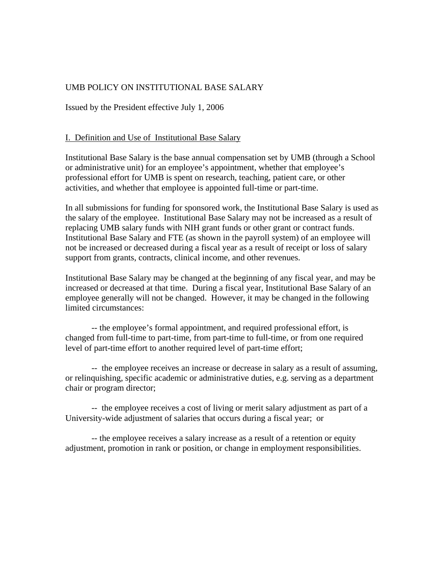## UMB POLICY ON INSTITUTIONAL BASE SALARY

Issued by the President effective July 1, 2006

#### I. Definition and Use of Institutional Base Salary

Institutional Base Salary is the base annual compensation set by UMB (through a School or administrative unit) for an employee's appointment, whether that employee's professional effort for UMB is spent on research, teaching, patient care, or other activities, and whether that employee is appointed full-time or part-time.

In all submissions for funding for sponsored work, the Institutional Base Salary is used as the salary of the employee. Institutional Base Salary may not be increased as a result of replacing UMB salary funds with NIH grant funds or other grant or contract funds. Institutional Base Salary and FTE (as shown in the payroll system) of an employee will not be increased or decreased during a fiscal year as a result of receipt or loss of salary support from grants, contracts, clinical income, and other revenues.

Institutional Base Salary may be changed at the beginning of any fiscal year, and may be increased or decreased at that time. During a fiscal year, Institutional Base Salary of an employee generally will not be changed. However, it may be changed in the following limited circumstances:

 -- the employee's formal appointment, and required professional effort, is changed from full-time to part-time, from part-time to full-time, or from one required level of part-time effort to another required level of part-time effort;

 -- the employee receives an increase or decrease in salary as a result of assuming, or relinquishing, specific academic or administrative duties, e.g. serving as a department chair or program director;

 -- the employee receives a cost of living or merit salary adjustment as part of a University-wide adjustment of salaries that occurs during a fiscal year; or

 -- the employee receives a salary increase as a result of a retention or equity adjustment, promotion in rank or position, or change in employment responsibilities.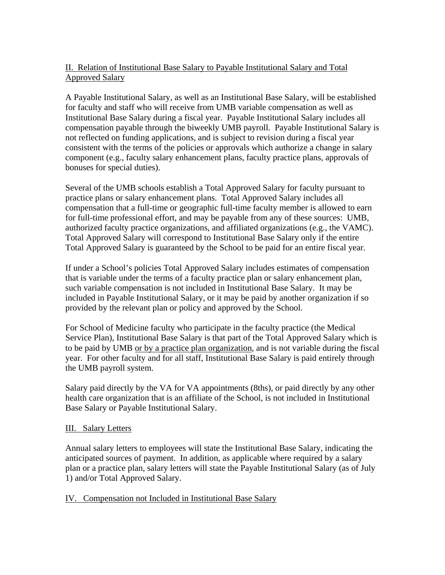# II. Relation of Institutional Base Salary to Payable Institutional Salary and Total Approved Salary

A Payable Institutional Salary, as well as an Institutional Base Salary, will be established for faculty and staff who will receive from UMB variable compensation as well as Institutional Base Salary during a fiscal year. Payable Institutional Salary includes all compensation payable through the biweekly UMB payroll. Payable Institutional Salary is not reflected on funding applications, and is subject to revision during a fiscal year consistent with the terms of the policies or approvals which authorize a change in salary component (e.g., faculty salary enhancement plans, faculty practice plans, approvals of bonuses for special duties).

Several of the UMB schools establish a Total Approved Salary for faculty pursuant to practice plans or salary enhancement plans. Total Approved Salary includes all compensation that a full-time or geographic full-time faculty member is allowed to earn for full-time professional effort, and may be payable from any of these sources: UMB, authorized faculty practice organizations, and affiliated organizations (e.g., the VAMC). Total Approved Salary will correspond to Institutional Base Salary only if the entire Total Approved Salary is guaranteed by the School to be paid for an entire fiscal year.

If under a School's policies Total Approved Salary includes estimates of compensation that is variable under the terms of a faculty practice plan or salary enhancement plan, such variable compensation is not included in Institutional Base Salary. It may be included in Payable Institutional Salary, or it may be paid by another organization if so provided by the relevant plan or policy and approved by the School.

For School of Medicine faculty who participate in the faculty practice (the Medical Service Plan), Institutional Base Salary is that part of the Total Approved Salary which is to be paid by UMB or by a practice plan organization, and is not variable during the fiscal year. For other faculty and for all staff, Institutional Base Salary is paid entirely through the UMB payroll system.

Salary paid directly by the VA for VA appointments (8ths), or paid directly by any other health care organization that is an affiliate of the School, is not included in Institutional Base Salary or Payable Institutional Salary.

### III. Salary Letters

Annual salary letters to employees will state the Institutional Base Salary, indicating the anticipated sources of payment. In addition, as applicable where required by a salary plan or a practice plan, salary letters will state the Payable Institutional Salary (as of July 1) and/or Total Approved Salary.

### IV. Compensation not Included in Institutional Base Salary